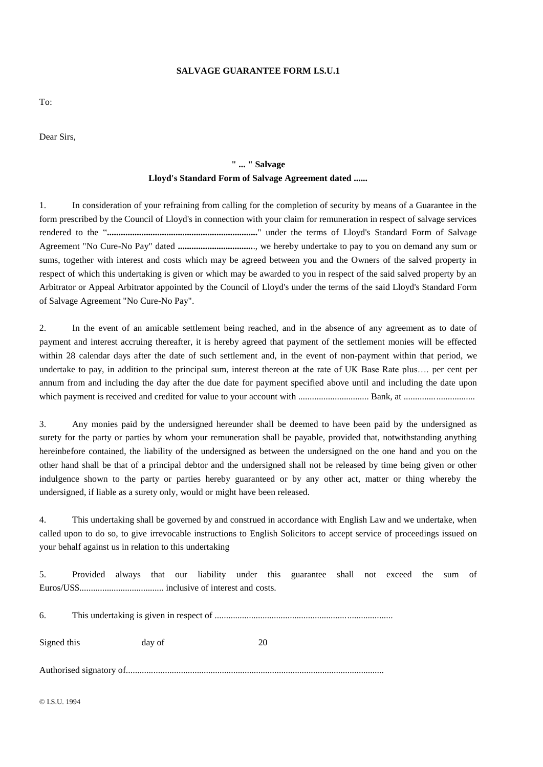### **SALVAGE GUARANTEE FORM I.S.U.1**

To:

Dear Sirs,

## **" ... " Salvage Lloyd's Standard Form of Salvage Agreement dated ......**

1. In consideration of your refraining from calling for the completion of security by means of a Guarantee in the form prescribed by the Council of Lloyd's in connection with your claim for remuneration in respect of salvage services rendered to the "**..................................................................**" under the terms of Lloyd's Standard Form of Salvage Agreement "No Cure-No Pay" dated **.................................**., we hereby undertake to pay to you on demand any sum or sums, together with interest and costs which may be agreed between you and the Owners of the salved property in respect of which this undertaking is given or which may be awarded to you in respect of the said salved property by an Arbitrator or Appeal Arbitrator appointed by the Council of Lloyd's under the terms of the said Lloyd's Standard Form of Salvage Agreement "No Cure-No Pay".

2. In the event of an amicable settlement being reached, and in the absence of any agreement as to date of payment and interest accruing thereafter, it is hereby agreed that payment of the settlement monies will be effected within 28 calendar days after the date of such settlement and, in the event of non-payment within that period, we undertake to pay, in addition to the principal sum, interest thereon at the rate of UK Base Rate plus…. per cent per annum from and including the day after the due date for payment specified above until and including the date upon which payment is received and credited for value to your account with ............................... Bank, at ...............................

3. Any monies paid by the undersigned hereunder shall be deemed to have been paid by the undersigned as surety for the party or parties by whom your remuneration shall be payable, provided that, notwithstanding anything hereinbefore contained, the liability of the undersigned as between the undersigned on the one hand and you on the other hand shall be that of a principal debtor and the undersigned shall not be released by time being given or other indulgence shown to the party or parties hereby guaranteed or by any other act, matter or thing whereby the undersigned, if liable as a surety only, would or might have been released.

4. This undertaking shall be governed by and construed in accordance with English Law and we undertake, when called upon to do so, to give irrevocable instructions to English Solicitors to accept service of proceedings issued on your behalf against us in relation to this undertaking

5. Provided always that our liability under this guarantee shall not exceed the sum of Euros/US\$..................................... inclusive of interest and costs.

6. This undertaking is given in respect of ..............................................................................

Signed this day of 20

Authorised signatory of.................................................................................................................

© I.S.U. 1994